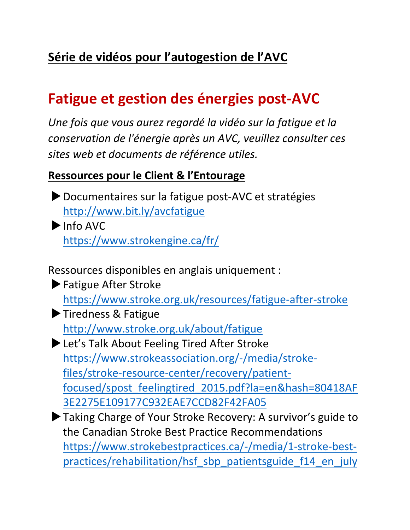# Série de vidéos pour l'autogestion de l'AVC

# **Fatigue et gestion des énergies post-AVC**

Une fois que vous aurez regardé la vidéo sur la fatigue et la *conservation de l'énergie après un AVC, veuillez consulter ces sites web et documents de référence utiles.*

#### **Ressources pour le Client & l'Entourage**

- Documentaires sur la fatigue post-AVC et stratégies http://www.bit.ly/avcfatigue
- $\blacktriangleright$  Info AVC https://www.strokengine.ca/fr/
- Ressources disponibles en anglais uniquement :
- $\blacktriangleright$  Fatigue After Stroke https://www.stroke.org.uk/resources/fatigue-after-stroke
- Tiredness & Fatigue http://www.stroke.org.uk/about/fatigue
- EuLet's Talk About Feeling Tired After Stroke https://www.strokeassociation.org/-/media/strokefiles/stroke-resource-center/recovery/patientfocused/spost\_feelingtired\_2015.pdf?la=en&hash=80418AF 3E2275E109177C932EAE7CCD82F42FA05
- Taking Charge of Your Stroke Recovery: A survivor's guide to the Canadian Stroke Best Practice Recommendations https://www.strokebestpractices.ca/-/media/1-stroke-bestpractices/rehabilitation/hsf\_sbp\_patientsguide\_f14\_en\_july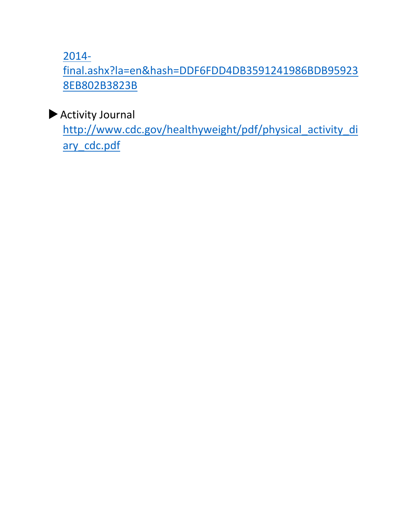2014-

final.ashx?la=en&hash=DDF6FDD4DB3591241986BDB95923 8EB802B3823B

 $\blacktriangleright$  Activity Journal

http://www.cdc.gov/healthyweight/pdf/physical\_activity\_di ary\_cdc.pdf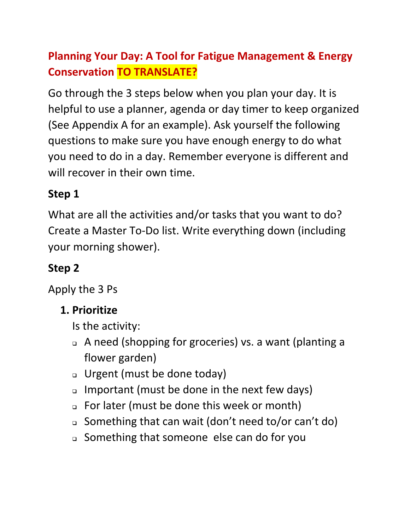# **Planning Your Day: A Tool for Fatigue Management & Energy Conservation TO TRANSLATE?**

Go through the 3 steps below when you plan your day. It is helpful to use a planner, agenda or day timer to keep organized (See Appendix A for an example). Ask yourself the following questions to make sure you have enough energy to do what you need to do in a day. Remember everyone is different and will recover in their own time.

## **Step 1**

What are all the activities and/or tasks that you want to do? Create a Master To-Do list. Write everything down (including your morning shower).

## **Step 2**

Apply the 3 Ps

## **1. Prioritize**

Is the activity:

- □ A need (shopping for groceries) vs. a want (planting a flower garden)
- $\Box$  Urgent (must be done today)
- $\Box$  Important (must be done in the next few days)
- □ For later (must be done this week or month)
- □ Something that can wait (don't need to/or can't do)
- □ Something that someone else can do for you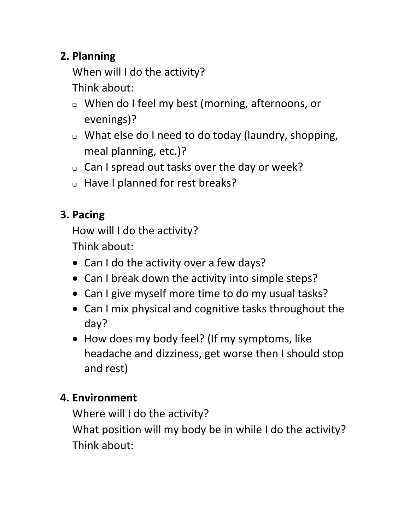## **2. Planning**

When will I do the activity? Think about:

- □ When do I feel my best (morning, afternoons, or evenings)?
- □ What else do I need to do today (laundry, shopping, meal planning, etc.)?
- □ Can I spread out tasks over the day or week?
- a Have I planned for rest breaks?

# **3. Pacing**

How will I do the activity?

Think about:

- Can I do the activity over a few days?
- Can I break down the activity into simple steps?
- Can I give myself more time to do my usual tasks?
- Can I mix physical and cognitive tasks throughout the day?
- How does my body feel? (If my symptoms, like headache and dizziness, get worse then I should stop and rest)

## **4. Environment**

Where will I do the activity?

What position will my body be in while I do the activity? Think about: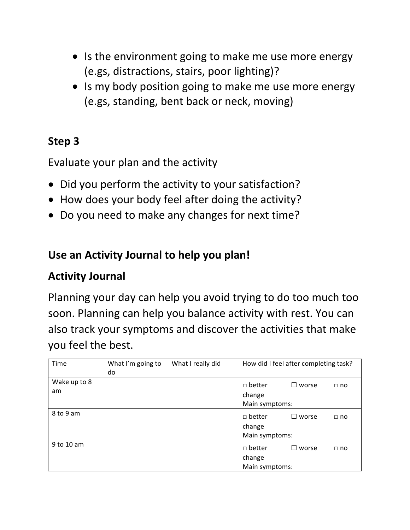- Is the environment going to make me use more energy (e.gs, distractions, stairs, poor lighting)?
- Is my body position going to make me use more energy (e.gs, standing, bent back or neck, moving)

#### **Step 3**

Evaluate your plan and the activity

- Did you perform the activity to your satisfaction?
- How does your body feel after doing the activity?
- Do you need to make any changes for next time?

#### Use an Activity Journal to help you plan!

#### **Activity Journal**

Planning your day can help you avoid trying to do too much too soon. Planning can help you balance activity with rest. You can also track your symptoms and discover the activities that make you feel the best.

| Time         | What I'm going to | What I really did |                | How did I feel after completing task? |           |
|--------------|-------------------|-------------------|----------------|---------------------------------------|-----------|
|              | do                |                   |                |                                       |           |
| Wake up to 8 |                   |                   | $\Box$ better  | $\square$ worse                       | $\Box$ no |
| am           |                   |                   | change         |                                       |           |
|              |                   |                   | Main symptoms: |                                       |           |
| 8 to 9 am    |                   |                   | $\Box$ better  | $\square$ worse                       | $\Box$ no |
|              |                   |                   | change         |                                       |           |
|              |                   |                   | Main symptoms: |                                       |           |
| 9 to 10 am   |                   |                   | $\Box$ better  | $\square$ worse                       | $\Box$ no |
|              |                   |                   | change         |                                       |           |
|              |                   |                   | Main symptoms: |                                       |           |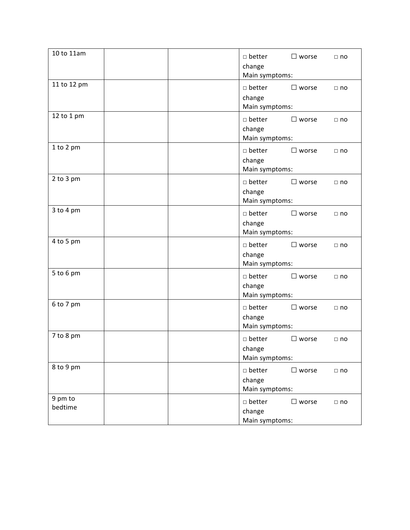| 10 to 11am         | $\Box$ better<br>$\square$ worse<br>$\Box$ no<br>change<br>Main symptoms:    |
|--------------------|------------------------------------------------------------------------------|
| 11 to 12 pm        | $\Box$ better<br>$\square$ worse<br>$\Box$ no<br>change<br>Main symptoms:    |
| 12 to 1 pm         | $\square$ better<br>$\square$ worse<br>$\Box$ no<br>change<br>Main symptoms: |
| 1 to 2 pm          | $\Box$ better<br>$\square$ worse<br>$\Box$ no<br>change<br>Main symptoms:    |
| 2 to 3 pm          | $\Box$ better<br>$\square$ worse<br>$\Box$ no<br>change<br>Main symptoms:    |
| 3 to 4 pm          | $\Box$ better<br>$\square$ worse<br>$\Box$ no<br>change<br>Main symptoms:    |
| 4 to 5 pm          | $\Box$ better<br>$\square$ worse<br>$\Box$ no<br>change<br>Main symptoms:    |
| 5 to 6 pm          | $\Box$ better<br>$\square$ worse<br>$\Box$ no<br>change<br>Main symptoms:    |
| 6 to 7 pm          | $\Box$ better<br>$\square$ worse<br>$\Box$ no<br>change<br>Main symptoms:    |
| 7 to 8 pm          | $\Box$ better<br>$\square$ worse<br>$\Box$ no<br>change<br>Main symptoms:    |
| 8 to 9 pm          | $\square$ better<br>$\square$ worse<br>$\Box$ no<br>change<br>Main symptoms: |
| 9 pm to<br>bedtime | $\Box$ better<br>$\square$ worse<br>$\Box$ no<br>change<br>Main symptoms:    |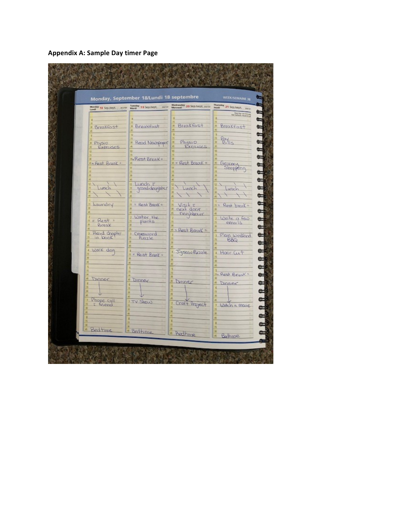**Appendix A: Sample Day timer Page**

|                              | Monday, September 18/Lundi 18 septembre           |                                   | WEEK/SEMAINE 38                                                |
|------------------------------|---------------------------------------------------|-----------------------------------|----------------------------------------------------------------|
|                              | Monday 18 Sep hept. mone March 19 Sep hept. sures | Wednesday 20 Sep hept. song       | Thursday 21 Sep.hept. New<br><b><i><u>Party Strain</u></i></b> |
|                              |                                                   | Breakfast                         | <b>Breakfast</b><br>XF.                                        |
| · Breakfast                  | · Breakfast                                       |                                   |                                                                |
| Physio<br>XI.                | Read Neumpaper                                    | Physio                            | Pay                                                            |
| Exercises                    |                                                   | Exerises                          | ö,<br>15                                                       |
| ** Rest Break =              | -Rest Break=                                      | $s = Rest Break =$                | s.                                                             |
|                              | Υï                                                |                                   | Georgeny<br>Shopping<br>Ħ.<br>15                               |
| ö                            |                                                   |                                   | 35<br>ö                                                        |
| Q.<br>Lunch                  | Lunch E<br>iú.<br>grand-daughter                  | Lunch                             | iż.<br>B<br>Lunc                                               |
| s                            |                                                   | 6                                 | XI<br>ø,                                                       |
| Laundry<br>ß                 | = Rest Brank =<br>15                              | Visit =<br>next door<br>neighbour | " Rest break =                                                 |
|                              | ×<br>Water the                                    |                                   | ø<br>Write a few<br>ž.                                         |
| $=$ Rest =<br>Break          | plants.                                           | ×                                 | exnails                                                        |
| Rend chapter<br>3<br>in look | Croissword<br>Puzzle                              | $=$ Rest Break =                  | Plan weekend<br>X.                                             |
| AS.                          | as.                                               |                                   | BBQ                                                            |
| Walk dog<br>4                | 4.<br><b>B</b> = Rest Brank =                     | Jigsaw Puzzle                     | Hair Cut<br>$\frac{1}{2}$                                      |
|                              | ø,                                                | 30<br>ä                           | x<br>8                                                         |
| 30                           | 5                                                 | s.                                | 5.<br>Rest Break                                               |
| s<br>Dinner                  | s.<br><b>Dinner</b><br>ß                          | 30<br>45<br>Dones                 | s<br>Dinner                                                    |
|                              | ×                                                 | w                                 | 6                                                              |
| Phone call                   | ä<br>ITY Show                                     | ×                                 | ь<br>is.                                                       |
| I friend                     |                                                   | Craft Project<br>30               | Ÿ.<br>Watch a mare                                             |
|                              | a                                                 | x,<br>x                           | 33<br>ä                                                        |
| · Bedtime                    | ×<br>· Bedtime                                    |                                   | B.                                                             |